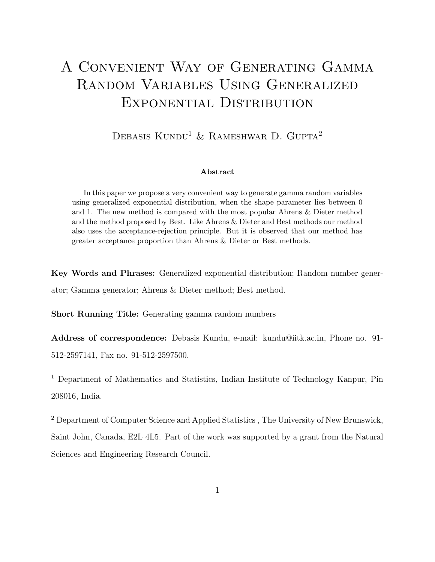# A Convenient Way of Generating Gamma Random Variables Using Generalized Exponential Distribution

DEBASIS KUNDU<sup>1</sup> & RAMESHWAR D. GUPTA<sup>2</sup>

#### Abstract

In this paper we propose a very convenient way to generate gamma random variables using generalized exponential distribution, when the shape parameter lies between 0 and 1. The new method is compared with the most popular Ahrens & Dieter method and the method proposed by Best. Like Ahrens & Dieter and Best methods our method also uses the acceptance-rejection principle. But it is observed that our method has greater acceptance proportion than Ahrens & Dieter or Best methods.

Key Words and Phrases: Generalized exponential distribution; Random number generator; Gamma generator; Ahrens & Dieter method; Best method.

Short Running Title: Generating gamma random numbers

Address of correspondence: Debasis Kundu, e-mail: kundu@iitk.ac.in, Phone no. 91- 512-2597141, Fax no. 91-512-2597500.

<sup>1</sup> Department of Mathematics and Statistics, Indian Institute of Technology Kanpur, Pin 208016, India.

<sup>2</sup> Department of Computer Science and Applied Statistics , The University of New Brunswick, Saint John, Canada, E2L 4L5. Part of the work was supported by a grant from the Natural Sciences and Engineering Research Council.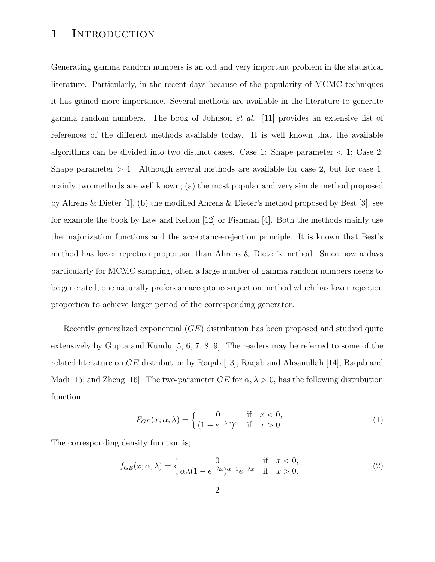# 1 INTRODUCTION

Generating gamma random numbers is an old and very important problem in the statistical literature. Particularly, in the recent days because of the popularity of MCMC techniques it has gained more importance. Several methods are available in the literature to generate gamma random numbers. The book of Johnson *et al.* [11] provides an extensive list of references of the different methods available today. It is well known that the available algorithms can be divided into two distinct cases. Case 1: Shape parameter  $\lt 1$ ; Case 2: Shape parameter  $> 1$ . Although several methods are available for case 2, but for case 1, mainly two methods are well known; (a) the most popular and very simple method proposed by Ahrens & Dieter [1], (b) the modified Ahrens & Dieter's method proposed by Best [3], see for example the book by Law and Kelton [12] or Fishman [4]. Both the methods mainly use the majorization functions and the acceptance-rejection principle. It is known that Best's method has lower rejection proportion than Ahrens & Dieter's method. Since now a days particularly for MCMC sampling, often a large number of gamma random numbers needs to be generated, one naturally prefers an acceptance-rejection method which has lower rejection proportion to achieve larger period of the corresponding generator.

Recently generalized exponential  $(GE)$  distribution has been proposed and studied quite extensively by Gupta and Kundu [5, 6, 7, 8, 9]. The readers may be referred to some of the related literature on  $GE$  distribution by Raqab [13], Raqab and Ahsanullah [14], Raqab and Madi [15] and Zheng [16]. The two-parameter  $GE$  for  $\alpha, \lambda > 0$ , has the following distribution function;

$$
F_{GE}(x; \alpha, \lambda) = \begin{cases} 0 & \text{if } x < 0, \\ (1 - e^{-\lambda x})^{\alpha} & \text{if } x > 0. \end{cases}
$$
 (1)

The corresponding density function is;

$$
f_{GE}(x; \alpha, \lambda) = \begin{cases} 0 & \text{if } x < 0, \\ \alpha \lambda (1 - e^{-\lambda x})^{\alpha - 1} e^{-\lambda x} & \text{if } x > 0. \end{cases}
$$
 (2)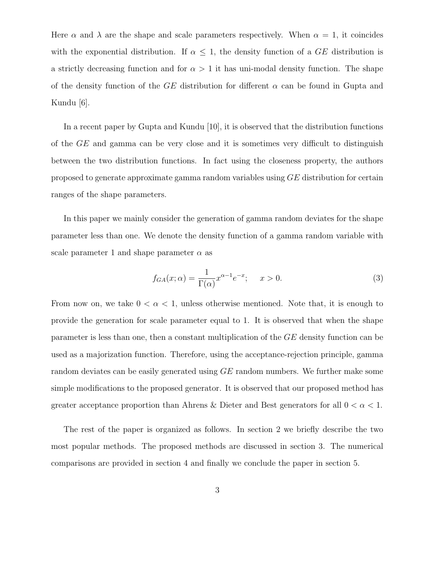Here  $\alpha$  and  $\lambda$  are the shape and scale parameters respectively. When  $\alpha = 1$ , it coincides with the exponential distribution. If  $\alpha \leq 1$ , the density function of a GE distribution is a strictly decreasing function and for  $\alpha > 1$  it has uni-modal density function. The shape of the density function of the GE distribution for different  $\alpha$  can be found in Gupta and Kundu [6].

In a recent paper by Gupta and Kundu  $|10|$ , it is observed that the distribution functions of the GE and gamma can be very close and it is sometimes very difficult to distinguish between the two distribution functions. In fact using the closeness property, the authors proposed to generate approximate gamma random variables using GE distribution for certain ranges of the shape parameters.

In this paper we mainly consider the generation of gamma random deviates for the shape parameter less than one. We denote the density function of a gamma random variable with scale parameter 1 and shape parameter  $\alpha$  as

$$
f_{GA}(x; \alpha) = \frac{1}{\Gamma(\alpha)} x^{\alpha - 1} e^{-x}; \quad x > 0.
$$
 (3)

From now on, we take  $0 < \alpha < 1$ , unless otherwise mentioned. Note that, it is enough to provide the generation for scale parameter equal to 1. It is observed that when the shape parameter is less than one, then a constant multiplication of the GE density function can be used as a majorization function. Therefore, using the acceptance-rejection principle, gamma random deviates can be easily generated using GE random numbers. We further make some simple modifications to the proposed generator. It is observed that our proposed method has greater acceptance proportion than Ahrens & Dieter and Best generators for all  $0 < \alpha < 1$ .

The rest of the paper is organized as follows. In section 2 we briefly describe the two most popular methods. The proposed methods are discussed in section 3. The numerical comparisons are provided in section 4 and finally we conclude the paper in section 5.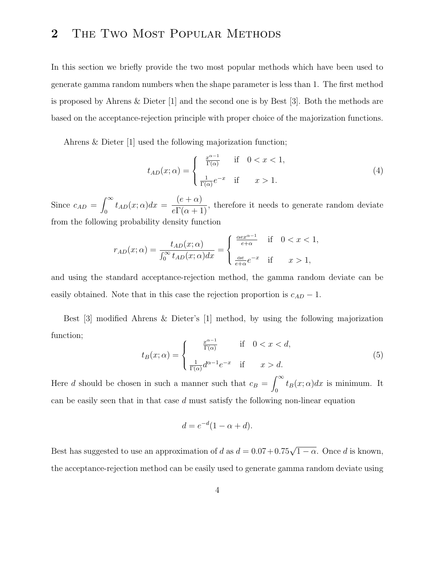# 2 THE TWO MOST POPULAR METHODS

In this section we briefly provide the two most popular methods which have been used to generate gamma random numbers when the shape parameter is less than 1. The first method is proposed by Ahrens & Dieter [1] and the second one is by Best [3]. Both the methods are based on the acceptance-rejection principle with proper choice of the majorization functions.

Ahrens & Dieter [1] used the following majorization function;

$$
t_{AD}(x; \alpha) = \begin{cases} \frac{x^{\alpha - 1}}{\Gamma(\alpha)} & \text{if } 0 < x < 1, \\ \frac{1}{\Gamma(\alpha)} e^{-x} & \text{if } x > 1. \end{cases}
$$
 (4)

Since  $c_{AD}$  =  $\int^{\infty}$  $t_{AD}(x; \alpha)dx =$  $(e + \alpha)$  $\frac{(\mathcal{C} + \mathcal{Z})}{e\Gamma(\alpha + 1)}$ , therefore it needs to generate random deviate from the following probability density function

$$
r_{AD}(x; \alpha) = \frac{t_{AD}(x; \alpha)}{\int_0^\infty t_{AD}(x; \alpha) dx} = \begin{cases} \frac{\alpha e x^{\alpha - 1}}{e + \alpha} & \text{if } 0 < x < 1, \\ \frac{\alpha e}{e + \alpha} e^{-x} & \text{if } x > 1, \end{cases}
$$

and using the standard acceptance-rejection method, the gamma random deviate can be easily obtained. Note that in this case the rejection proportion is  $c_{AD} - 1$ .

Best [3] modified Ahrens & Dieter's [1] method, by using the following majorization function;  $\alpha$ <sup>-1</sup>

$$
t_B(x; \alpha) = \begin{cases} \frac{x^{\alpha - 1}}{\Gamma(\alpha)} & \text{if } 0 < x < d, \\ \frac{1}{\Gamma(\alpha)} d^{\alpha - 1} e^{-x} & \text{if } x > d. \end{cases} \tag{5}
$$

Here d should be chosen in such a manner such that  $c_B =$  $\int^{\infty}$  $\int_0$   $t_B(x; \alpha) dx$  is minimum. It can be easily seen that in that case  $d$  must satisfy the following non-linear equation

$$
d = e^{-d}(1 - \alpha + d).
$$

Best has suggested to use an approximation of d as  $d = 0.07 + 0.75\sqrt{1 - \alpha}$ . Once d is known, the acceptance-rejection method can be easily used to generate gamma random deviate using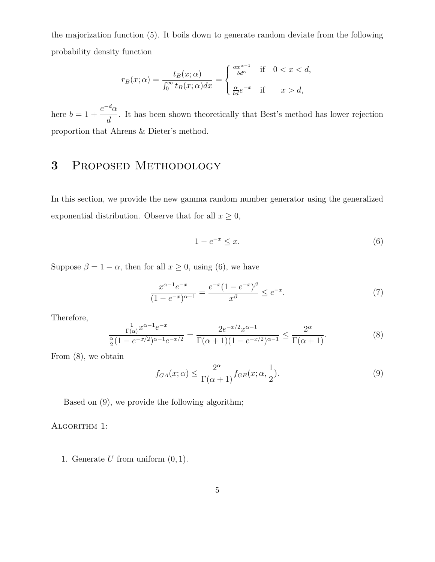the majorization function (5). It boils down to generate random deviate from the following probability density function

$$
r_B(x; \alpha) = \frac{t_B(x; \alpha)}{\int_0^\infty t_B(x; \alpha) dx} = \begin{cases} \frac{\alpha x^{\alpha - 1}}{b d^\alpha} & \text{if } 0 < x < d, \\ \frac{\alpha}{b d} e^{-x} & \text{if } x > d, \end{cases}
$$

here  $b = 1 +$  $e^{-d}\alpha$  $\frac{a}{d}$ . It has been shown theoretically that Best's method has lower rejection proportion that Ahrens & Dieter's method.

### 3 Proposed Methodology

In this section, we provide the new gamma random number generator using the generalized exponential distribution. Observe that for all  $x \geq 0$ ,

$$
1 - e^{-x} \le x. \tag{6}
$$

Suppose  $\beta = 1 - \alpha$ , then for all  $x \ge 0$ , using (6), we have

$$
\frac{x^{\alpha-1}e^{-x}}{(1-e^{-x})^{\alpha-1}} = \frac{e^{-x}(1-e^{-x})^{\beta}}{x^{\beta}} \le e^{-x}.
$$
\n(7)

Therefore,

$$
\frac{\frac{1}{\Gamma(\alpha)}x^{\alpha-1}e^{-x}}{\frac{\alpha}{2}(1-e^{-x/2})^{\alpha-1}e^{-x/2}} = \frac{2e^{-x/2}x^{\alpha-1}}{\Gamma(\alpha+1)(1-e^{-x/2})^{\alpha-1}} \le \frac{2^{\alpha}}{\Gamma(\alpha+1)}.
$$
\n(8)

From (8), we obtain

$$
f_{GA}(x; \alpha) \le \frac{2^{\alpha}}{\Gamma(\alpha+1)} f_{GE}(x; \alpha, \frac{1}{2}).
$$
\n(9)

Based on (9), we provide the following algorithm;

ALGORITHM 1:

1. Generate  $U$  from uniform  $(0, 1)$ .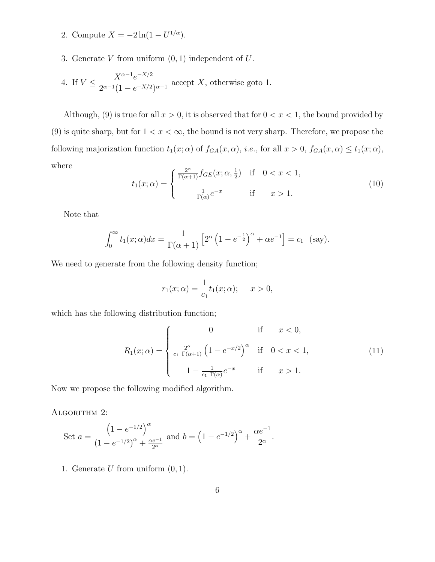- 2. Compute  $X = -2\ln(1 U^{1/\alpha})$ .
- 3. Generate  $V$  from uniform  $(0, 1)$  independent of  $U$ .

4. If 
$$
V \leq \frac{X^{\alpha-1}e^{-X/2}}{2^{\alpha-1}(1-e^{-X/2})^{\alpha-1}}
$$
 accept X, otherwise got 1.

Although, (9) is true for all  $x > 0$ , it is observed that for  $0 < x < 1$ , the bound provided by (9) is quite sharp, but for  $1 < x < \infty$ , the bound is not very sharp. Therefore, we propose the following majorization function  $t_1(x; \alpha)$  of  $f_{GA}(x, \alpha)$ , i.e., for all  $x > 0$ ,  $f_{GA}(x, \alpha) \le t_1(x; \alpha)$ , where

$$
t_1(x; \alpha) = \begin{cases} \frac{2^{\alpha}}{\Gamma(\alpha+1)} f_{GE}(x; \alpha, \frac{1}{2}) & \text{if } 0 < x < 1, \\ \frac{1}{\Gamma(\alpha)} e^{-x} & \text{if } x > 1. \end{cases} \tag{10}
$$

Note that

$$
\int_0^\infty t_1(x;\alpha)dx = \frac{1}{\Gamma(\alpha+1)} \left[2^\alpha \left(1 - e^{-\frac{1}{2}}\right)^\alpha + \alpha e^{-1}\right] = c_1 \quad \text{(say)}.
$$

We need to generate from the following density function;

$$
r_1(x; \alpha) = \frac{1}{c_1} t_1(x; \alpha); \quad x > 0,
$$

which has the following distribution function;

$$
R_1(x; \alpha) = \begin{cases} 0 & \text{if } x < 0, \\ \frac{2^{\alpha}}{c_1 \Gamma(\alpha+1)} \left(1 - e^{-x/2}\right)^{\alpha} & \text{if } 0 < x < 1, \\ 1 - \frac{1}{c_1 \Gamma(\alpha)} e^{-x} & \text{if } x > 1. \end{cases}
$$
(11)

Now we propose the following modified algorithm.

ALGORITHM 2:

Set 
$$
a = \frac{\left(1 - e^{-1/2}\right)^{\alpha}}{\left(1 - e^{-1/2}\right)^{\alpha} + \frac{\alpha e^{-1}}{2^{\alpha}}}
$$
 and  $b = \left(1 - e^{-1/2}\right)^{\alpha} + \frac{\alpha e^{-1}}{2^{\alpha}}$ .

1. Generate  $U$  from uniform  $(0, 1)$ .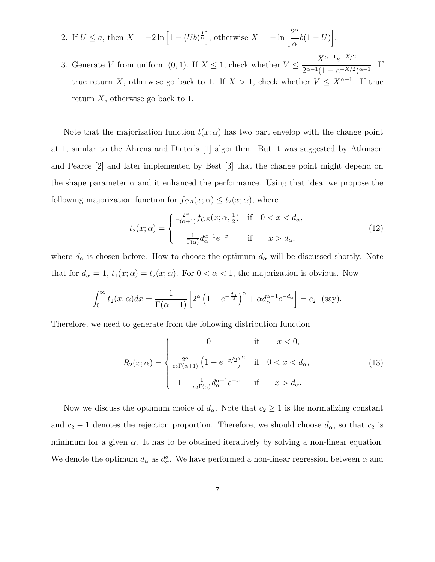2. If 
$$
U \le a
$$
, then  $X = -2 \ln \left[ 1 - (Ub)^{\frac{1}{\alpha}} \right]$ , otherwise  $X = -\ln \left[ \frac{2^{\alpha}}{\alpha} b(1 - U) \right]$ .

3. Generate V from uniform  $(0, 1)$ . If  $X \leq 1$ , check whether  $V \leq$  $X^{\alpha-1}e^{-X/2}$  $\frac{1}{2^{\alpha-1}(1-e^{-X/2})^{\alpha-1}}$ . If true return X, otherwise go back to 1. If  $X > 1$ , check whether  $V \leq X^{\alpha-1}$ . If true return  $X$ , otherwise go back to 1.

Note that the majorization function  $t(x; \alpha)$  has two part envelop with the change point at 1, similar to the Ahrens and Dieter's [1] algorithm. But it was suggested by Atkinson and Pearce [2] and later implemented by Best [3] that the change point might depend on the shape parameter  $\alpha$  and it enhanced the performance. Using that idea, we propose the following majorization function for  $f_{GA}(x; \alpha) \leq t_2(x; \alpha)$ , where

$$
t_2(x; \alpha) = \begin{cases} \frac{2^{\alpha}}{\Gamma(\alpha+1)} f_{GE}(x; \alpha, \frac{1}{2}) & \text{if } 0 < x < d_{\alpha}, \\ \frac{1}{\Gamma(\alpha)} d_{\alpha}^{\alpha-1} e^{-x} & \text{if } x > d_{\alpha}, \end{cases} \tag{12}
$$

where  $d_{\alpha}$  is chosen before. How to choose the optimum  $d_{\alpha}$  will be discussed shortly. Note that for  $d_{\alpha} = 1$ ,  $t_1(x; \alpha) = t_2(x; \alpha)$ . For  $0 < \alpha < 1$ , the majorization is obvious. Now

$$
\int_0^\infty t_2(x;\alpha)dx = \frac{1}{\Gamma(\alpha+1)} \left[2^\alpha \left(1 - e^{-\frac{d_\alpha}{2}}\right)^\alpha + \alpha d_\alpha^{\alpha-1} e^{-d_\alpha}\right] = c_2 \text{ (say)}.
$$

Therefore, we need to generate from the following distribution function

$$
R_2(x; \alpha) = \begin{cases} 0 & \text{if } x < 0, \\ \frac{2^{\alpha}}{c_2 \Gamma(\alpha+1)} \left(1 - e^{-x/2}\right)^{\alpha} & \text{if } 0 < x < d_\alpha, \\ 1 - \frac{1}{c_2 \Gamma(\alpha)} d_\alpha^{\alpha-1} e^{-x} & \text{if } x > d_\alpha. \end{cases} \tag{13}
$$

Now we discuss the optimum choice of  $d_{\alpha}$ . Note that  $c_2 \geq 1$  is the normalizing constant and  $c_2 - 1$  denotes the rejection proportion. Therefore, we should choose  $d_{\alpha}$ , so that  $c_2$  is minimum for a given  $\alpha$ . It has to be obtained iteratively by solving a non-linear equation. We denote the optimum  $d_{\alpha}$  as  $d_{\alpha}^{o}$ . We have performed a non-linear regression between  $\alpha$  and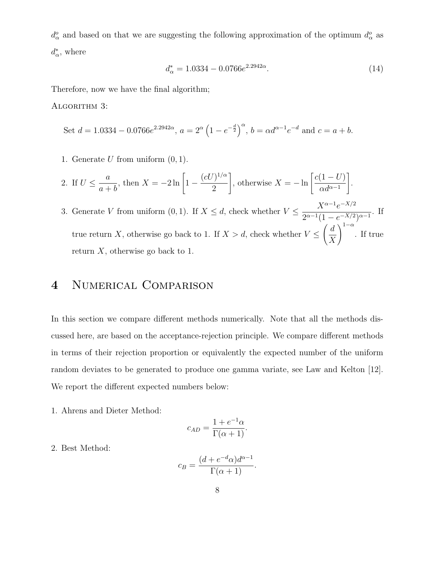$d_{\alpha}^{o}$  and based on that we are suggesting the following approximation of the optimum  $d_{\alpha}^{o}$  as  $d_{\alpha}^*$  $_{\alpha}^*$ , where

$$
d_{\alpha}^* = 1.0334 - 0.0766e^{2.2942\alpha}.\tag{14}
$$

Therefore, now we have the final algorithm;

ALGORITHM 3:

Set 
$$
d = 1.0334 - 0.0766e^{2.2942\alpha}
$$
,  $a = 2^{\alpha} \left(1 - e^{-\frac{d}{2}}\right)^{\alpha}$ ,  $b = \alpha d^{\alpha - 1} e^{-d}$  and  $c = a + b$ .

1. Generate  $U$  from uniform  $(0, 1)$ .

2. If 
$$
U \le \frac{a}{a+b}
$$
, then  $X = -2 \ln \left[ 1 - \frac{(cU)^{1/\alpha}}{2} \right]$ , otherwise  $X = -\ln \left[ \frac{c(1-U)}{\alpha d^{\alpha-1}} \right]$ .

3. Generate V from uniform  $(0, 1)$ . If  $X \leq d$ , check whether  $V \leq$  $X^{\alpha-1}e^{-X/2}$  $\frac{1}{2^{\alpha-1}(1-e^{-X/2})^{\alpha-1}}$ . If true return X, otherwise go back to 1. If  $X > d$ , check whether  $V \leq$  $\int d$  $\boldsymbol{X}$  $\setminus^{1-\alpha}$ . If true return  $X$ , otherwise go back to 1.

#### 4 Numerical Comparison

In this section we compare different methods numerically. Note that all the methods discussed here, are based on the acceptance-rejection principle. We compare different methods in terms of their rejection proportion or equivalently the expected number of the uniform random deviates to be generated to produce one gamma variate, see Law and Kelton [12]. We report the different expected numbers below:

1. Ahrens and Dieter Method:

$$
c_{AD} = \frac{1 + e^{-1}\alpha}{\Gamma(\alpha + 1)}.
$$

2. Best Method:

$$
c_B = \frac{(d + e^{-d}\alpha)d^{\alpha - 1}}{\Gamma(\alpha + 1)}.
$$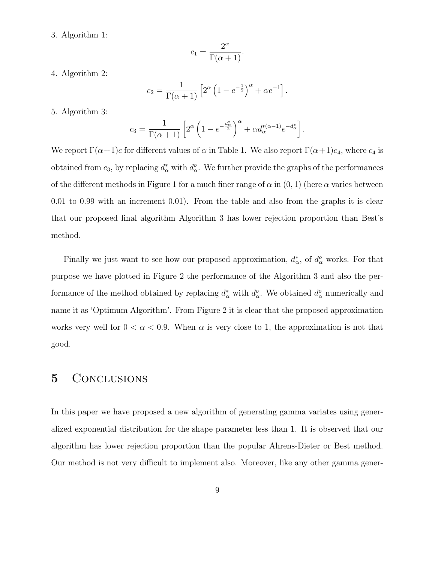3. Algorithm 1:

$$
c_1 = \frac{2^{\alpha}}{\Gamma(\alpha + 1)}.
$$

4. Algorithm 2:

$$
c_2 = \frac{1}{\Gamma(\alpha+1)} \left[ 2^{\alpha} \left( 1 - e^{-\frac{1}{2}} \right)^{\alpha} + \alpha e^{-1} \right].
$$

5. Algorithm 3:

$$
c_3 = \frac{1}{\Gamma(\alpha+1)} \left[ 2^{\alpha} \left( 1 - e^{-\frac{d_{\alpha}^*}{2}} \right)^{\alpha} + \alpha d_{\alpha}^{*(\alpha-1)} e^{-d_{\alpha}^*} \right].
$$

We report  $\Gamma(\alpha+1)c$  for different values of  $\alpha$  in Table 1. We also report  $\Gamma(\alpha+1)c_4$ , where  $c_4$  is obtained from  $c_3$ , by replacing  $d^*_{\alpha}$  with  $d^o_{\alpha}$ . We further provide the graphs of the performances of the different methods in Figure 1 for a much finer range of  $\alpha$  in  $(0, 1)$  (here  $\alpha$  varies between 0.01 to 0.99 with an increment 0.01). From the table and also from the graphs it is clear that our proposed final algorithm Algorithm 3 has lower rejection proportion than Best's method.

Finally we just want to see how our proposed approximation,  $d_{\alpha}^*$  $_{\alpha}^*$ , of  $d_{\alpha}^o$  works. For that purpose we have plotted in Figure 2 the performance of the Algorithm 3 and also the performance of the method obtained by replacing  $d^*_{\alpha}$  with  $d^o_{\alpha}$ . We obtained  $d^o_{\alpha}$  numerically and name it as 'Optimum Algorithm'. From Figure 2 it is clear that the proposed approximation works very well for  $0 < \alpha < 0.9$ . When  $\alpha$  is very close to 1, the approximation is not that good.

#### 5 CONCLUSIONS

In this paper we have proposed a new algorithm of generating gamma variates using generalized exponential distribution for the shape parameter less than 1. It is observed that our algorithm has lower rejection proportion than the popular Ahrens-Dieter or Best method. Our method is not very difficult to implement also. Moreover, like any other gamma gener-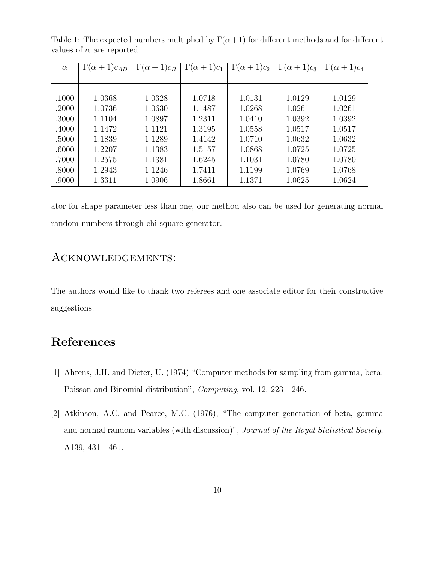| $\alpha$ | $\Gamma(\alpha+1)c_{AD}$ | $\overline{\Gamma}(\alpha+1)c_B$ | $\Gamma(\alpha+1)c_1$ | $\Gamma(\alpha+1)c_2$ | $\Gamma(\alpha+1)c_3$ | $\Gamma(\alpha+1)c_4$ |
|----------|--------------------------|----------------------------------|-----------------------|-----------------------|-----------------------|-----------------------|
|          |                          |                                  |                       |                       |                       |                       |
|          |                          |                                  |                       |                       |                       |                       |
| .1000    | 1.0368                   | 1.0328                           | 1.0718                | 1.0131                | 1.0129                | 1.0129                |
| .2000    | 1.0736                   | 1.0630                           | 1.1487                | 1.0268                | 1.0261                | 1.0261                |
| .3000    | 1.1104                   | 1.0897                           | 1.2311                | 1.0410                | 1.0392                | 1.0392                |
| .4000    | 1.1472                   | 1.1121                           | 1.3195                | 1.0558                | 1.0517                | 1.0517                |
| .5000    | 1.1839                   | 1.1289                           | 1.4142                | 1.0710                | 1.0632                | 1.0632                |
| .6000    | 1.2207                   | 1.1383                           | 1.5157                | 1.0868                | 1.0725                | 1.0725                |
| .7000    | 1.2575                   | 1.1381                           | 1.6245                | 1.1031                | 1.0780                | 1.0780                |
| .8000    | 1.2943                   | 1.1246                           | 1.7411                | 1.1199                | 1.0769                | 1.0768                |
| .9000    | 1.3311                   | 1.0906                           | 1.8661                | 1.1371                | 1.0625                | 1.0624                |

Table 1: The expected numbers multiplied by  $\Gamma(\alpha+1)$  for different methods and for different values of  $\alpha$  are reported

ator for shape parameter less than one, our method also can be used for generating normal random numbers through chi-square generator.

#### Acknowledgements:

The authors would like to thank two referees and one associate editor for their constructive suggestions.

# References

- [1] Ahrens, J.H. and Dieter, U. (1974) "Computer methods for sampling from gamma, beta, Poisson and Binomial distribution", Computing, vol. 12, 223 - 246.
- [2] Atkinson, A.C. and Pearce, M.C. (1976), "The computer generation of beta, gamma and normal random variables (with discussion)", Journal of the Royal Statistical Society, A139, 431 - 461.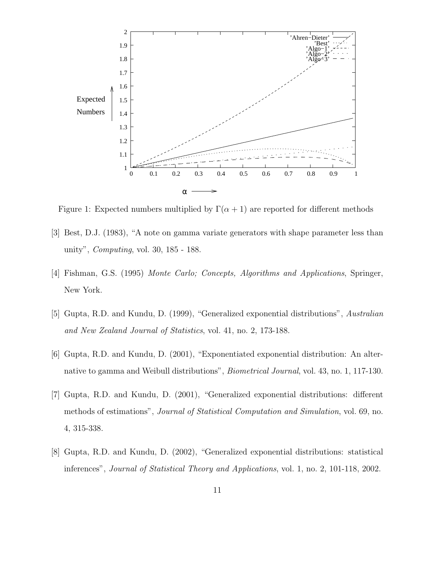

Figure 1: Expected numbers multiplied by  $\Gamma(\alpha + 1)$  are reported for different methods

- [3] Best, D.J. (1983), "A note on gamma variate generators with shape parameter less than unity", Computing, vol. 30, 185 - 188.
- [4] Fishman, G.S. (1995) Monte Carlo; Concepts, Algorithms and Applications, Springer, New York.
- [5] Gupta, R.D. and Kundu, D. (1999), "Generalized exponential distributions", Australian and New Zealand Journal of Statistics, vol. 41, no. 2, 173-188.
- [6] Gupta, R.D. and Kundu, D. (2001), "Exponentiated exponential distribution: An alternative to gamma and Weibull distributions", Biometrical Journal, vol. 43, no. 1, 117-130.
- [7] Gupta, R.D. and Kundu, D. (2001), "Generalized exponential distributions: different methods of estimations", Journal of Statistical Computation and Simulation, vol. 69, no. 4, 315-338.
- [8] Gupta, R.D. and Kundu, D. (2002), "Generalized exponential distributions: statistical inferences", Journal of Statistical Theory and Applications, vol. 1, no. 2, 101-118, 2002.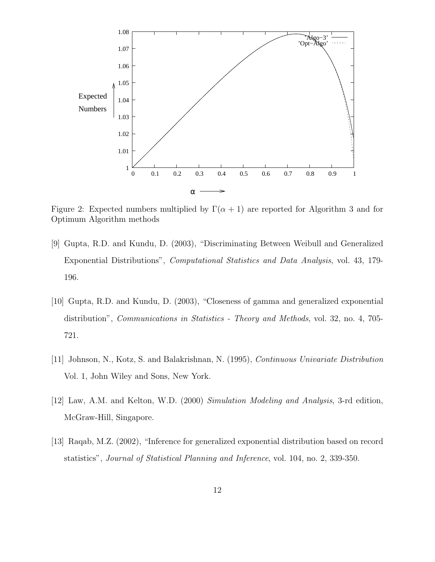

Figure 2: Expected numbers multiplied by  $\Gamma(\alpha + 1)$  are reported for Algorithm 3 and for Optimum Algorithm methods

- [9] Gupta, R.D. and Kundu, D. (2003), "Discriminating Between Weibull and Generalized Exponential Distributions", Computational Statistics and Data Analysis, vol. 43, 179- 196.
- [10] Gupta, R.D. and Kundu, D. (2003), "Closeness of gamma and generalized exponential distribution", Communications in Statistics - Theory and Methods, vol. 32, no. 4, 705- 721.
- [11] Johnson, N., Kotz, S. and Balakrishnan, N. (1995), Continuous Univariate Distribution Vol. 1, John Wiley and Sons, New York.
- [12] Law, A.M. and Kelton, W.D. (2000) Simulation Modeling and Analysis, 3-rd edition, McGraw-Hill, Singapore.
- [13] Raqab, M.Z. (2002), "Inference for generalized exponential distribution based on record statistics", Journal of Statistical Planning and Inference, vol. 104, no. 2, 339-350.